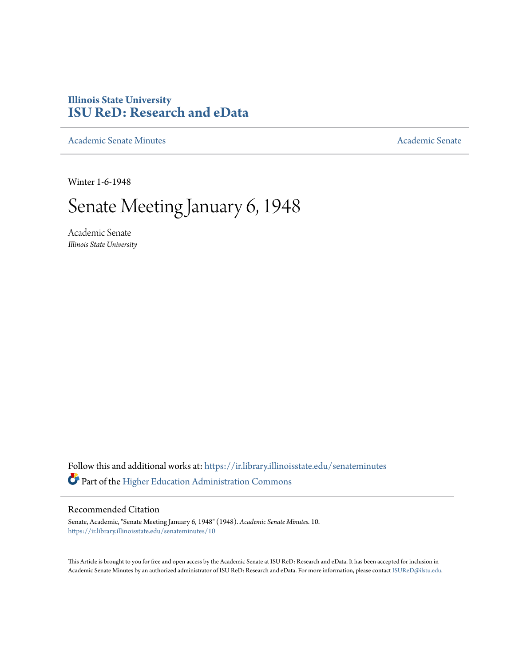## **Illinois State University [ISU ReD: Research and eData](https://ir.library.illinoisstate.edu?utm_source=ir.library.illinoisstate.edu%2Fsenateminutes%2F10&utm_medium=PDF&utm_campaign=PDFCoverPages)**

[Academic Senate Minutes](https://ir.library.illinoisstate.edu/senateminutes?utm_source=ir.library.illinoisstate.edu%2Fsenateminutes%2F10&utm_medium=PDF&utm_campaign=PDFCoverPages) [Academic Senate](https://ir.library.illinoisstate.edu/senate?utm_source=ir.library.illinoisstate.edu%2Fsenateminutes%2F10&utm_medium=PDF&utm_campaign=PDFCoverPages) Academic Senate

Winter 1-6-1948

## Senate Meeting January 6, 1948

Academic Senate *Illinois State University*

Follow this and additional works at: [https://ir.library.illinoisstate.edu/senateminutes](https://ir.library.illinoisstate.edu/senateminutes?utm_source=ir.library.illinoisstate.edu%2Fsenateminutes%2F10&utm_medium=PDF&utm_campaign=PDFCoverPages) Part of the [Higher Education Administration Commons](http://network.bepress.com/hgg/discipline/791?utm_source=ir.library.illinoisstate.edu%2Fsenateminutes%2F10&utm_medium=PDF&utm_campaign=PDFCoverPages)

## Recommended Citation

Senate, Academic, "Senate Meeting January 6, 1948" (1948). *Academic Senate Minutes*. 10. [https://ir.library.illinoisstate.edu/senateminutes/10](https://ir.library.illinoisstate.edu/senateminutes/10?utm_source=ir.library.illinoisstate.edu%2Fsenateminutes%2F10&utm_medium=PDF&utm_campaign=PDFCoverPages)

This Article is brought to you for free and open access by the Academic Senate at ISU ReD: Research and eData. It has been accepted for inclusion in Academic Senate Minutes by an authorized administrator of ISU ReD: Research and eData. For more information, please contact [ISUReD@ilstu.edu.](mailto:ISUReD@ilstu.edu)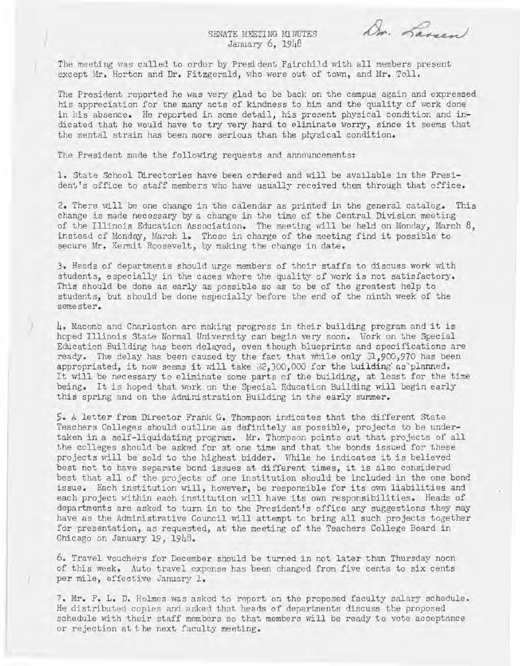SENATE MEETING MINUTES January 6, 1948

Dr. Larsen

The meeting was called to order by President Fairchild with all members present except Mr. Horton and Dr. Fitzgerald, who were out of town, and Mr. Toll.

The President reported he was very glad to be back on the campus again and expressed his appreciation for the many acts of kindness to him and the quality of work done in his absence. He reported in some detail, his present physical condition and indicated that he would have to try very hard to eliminate worry, since it seems that the mental strain has been more serious than the physical condition.

The President made the following requests and announcements:

I

)

1. State School Directories have been ordered and will be available in the President's office to staff members who have usually received them through that office.

2. There will be one change in the calendar as printed in the general catalog. This change is made necessary by a change in the time of the Central Division meeting of the Illinois Education Association. The meeting will be held on Monday, March 8. instead of Monday, March 1. Those in charge of the meeting find it possible to secure Mr. Kermit Roosevelt, by making the change in date.

3. Heads of departments should urge members of their staffs to discuss work with students, especially in the cases where the quality of work is not satisfactory. This should be done as early as possible so as to be of the greatest help to students, but should be done especially before the end of the ninth week of the semester.

) 4. Macomb and Charleston are making progress in their building program and it is hoped Illinois State Normal University can begin very soon. Work on the Special Education Building has been delayed, even though blueprints and specifications are ready. The delay has been caused by the fact that while only  $1,900,970$  has been appropriated, it now seems it will take \$2,300,000 for the building`as'planned. It will be necessary to eliminate some parts of the building, at least for the time being. It is hoped that work on the Special Education Building will begin early this spring and on the Administration Building in the early summer.

S. A letter from Director Frank G. Thompson indicates that the different State Teachers Colleges should outline as definitely as possible, projects to be undertaken in a self-liquidating program. Mr. Thompson points out that projects of all the colleges should be asked for at one time and that the bonds issued for these projects will be sold to the highest bidder. While he indicates it is believed best not to have separate bond issues at different times, it is also considered best that all of the projects of one institution should be included in the one bond issue. Each institution nill, however, be responsible for its own liabilities and each project within each institution will have its own responsibilities. Heads of departments are asked to turn in to the President's office any suggestions they may have as the Administrative Council will attempt to bring all such projects together for presentation, as requested, at the meeting of the Teachers College Board in Chicago on January 19, 1948.

6. Travel vouchers for December should be turned in not later than Thursday noon of this week. Auto travel expense has been changed from five cents to six cents per mile, effective January 1.

7. Mr. F. L. D. Holmes was asked to report on the proposed faculty salary schedule. He distributed copies and asked that heans of departments discuss the proposed schedule with their staff members so that members will be ready to vote acceptance or rejection at t he next faculty meeting.